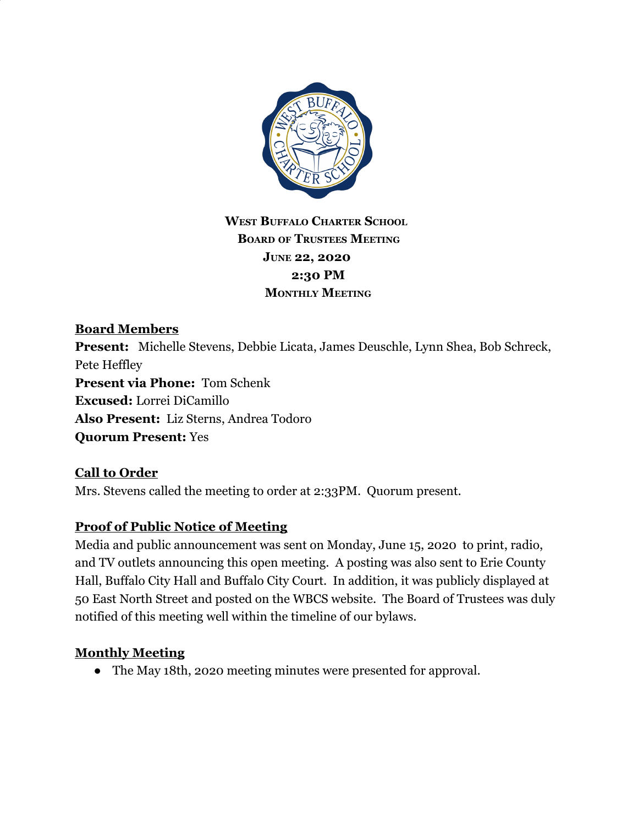

## **WEST BUFFALO CHARTER SCHOOL BOARD OF TRUSTEES MEETING JUNE 22, 2020 2:30 PM MONTHLY MEETING**

## **Board Members**

**Present:** Michelle Stevens, Debbie Licata, James Deuschle, Lynn Shea, Bob Schreck, Pete Heffley **Present via Phone:** Tom Schenk **Excused:** Lorrei DiCamillo **Also Present:** Liz Sterns, Andrea Todoro **Quorum Present:** Yes

#### **Call to Order**

Mrs. Stevens called the meeting to order at 2:33PM. Quorum present.

#### **Proof of Public Notice of Meeting**

Media and public announcement was sent on Monday, June 15, 2020 to print, radio, and TV outlets announcing this open meeting. A posting was also sent to Erie County Hall, Buffalo City Hall and Buffalo City Court. In addition, it was publicly displayed at 50 East North Street and posted on the WBCS website. The Board of Trustees was duly notified of this meeting well within the timeline of our bylaws.

#### **Monthly Meeting**

● The May 18th, 2020 meeting minutes were presented for approval.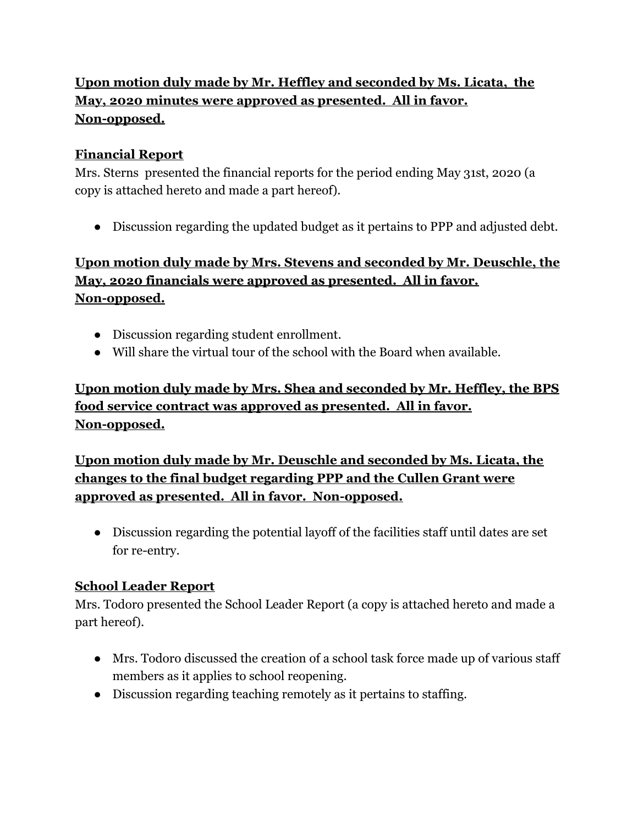# **Upon motion duly made by Mr. Heffley and seconded by Ms. Licata, the May, 2020 minutes were approved as presented. All in favor. Non-opposed.**

### **Financial Report**

Mrs. Sterns presented the financial reports for the period ending May 31st, 2020 (a copy is attached hereto and made a part hereof).

● Discussion regarding the updated budget as it pertains to PPP and adjusted debt.

## **Upon motion duly made by Mrs. Stevens and seconded by Mr. Deuschle, the May, 2020 financials were approved as presented. All in favor. Non-opposed.**

- Discussion regarding student enrollment.
- Will share the virtual tour of the school with the Board when available.

# **Upon motion duly made by Mrs. Shea and seconded by Mr. Heffley, the BPS food service contract was approved as presented. All in favor. Non-opposed.**

**Upon motion duly made by Mr. Deuschle and seconded by Ms. Licata, the changes to the final budget regarding PPP and the Cullen Grant were approved as presented. All in favor. Non-opposed.**

● Discussion regarding the potential layoff of the facilities staff until dates are set for re-entry.

## **School Leader Report**

Mrs. Todoro presented the School Leader Report (a copy is attached hereto and made a part hereof).

- Mrs. Todoro discussed the creation of a school task force made up of various staff members as it applies to school reopening.
- Discussion regarding teaching remotely as it pertains to staffing.